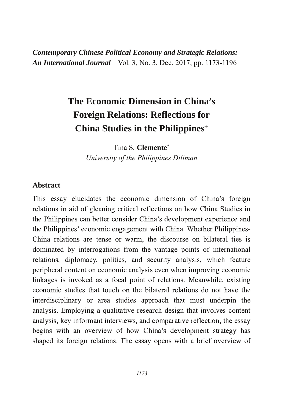*Contemporary Chinese Political Economy and Strategic Relations:* **An International Journal** Vol. 3, No. 3, Dec. 2017, pp. 1173-1196

3333333333333333333333333333333333333333333333333333333333

# **The Economic Dimension in China's Foreign Relations: Reflections for China Studies in the Philippines**

Tina S. **Clemente**\* *University of the Philippines Diliman*

#### **Abstract**

This essay elucidates the economic dimension of China's foreign relations in aid of gleaning critical reflections on how China Studies in the Philippines can better consider China's development experience and the Philippines' economic engagement with China. Whether Philippines-China relations are tense or warm, the discourse on bilateral ties is dominated by interrogations from the vantage points of international relations, diplomacy, politics, and security analysis, which feature peripheral content on economic analysis even when improving economic linkages is invoked as a focal point of relations. Meanwhile, existing economic studies that touch on the bilateral relations do not have the interdisciplinary or area studies approach that must underpin the analysis. Employing a qualitative research design that involves content analysis, key informant interviews, and comparative reflection, the essay begins with an overview of how China's development strategy has shaped its foreign relations. The essay opens with a brief overview of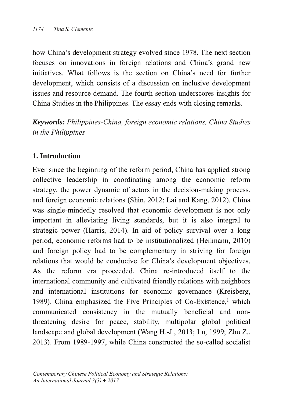how China's development strategy evolved since 1978. The next section focuses on innovations in foreign relations and China's grand new initiatives. What follows is the section on China's need for further development, which consists of a discussion on inclusive development issues and resource demand. The fourth section underscores insights for China Studies in the Philippines. The essay ends with closing remarks.

*Keywords: PhilippinesChina, foreign economic relations, China Studies in the Philippines*

## **1. Introduction**

Ever since the beginning of the reform period, China has applied strong collective leadership in coordinating among the economic reform strategy, the power dynamic of actors in the decision-making process, and foreign economic relations (Shin, 2012; Lai and Kang, 2012). China was single-mindedly resolved that economic development is not only important in alleviating living standards, but it is also integral to strategic power (Harris, 2014). In aid of policy survival over a long period, economic reforms had to be institutionalized (Heilmann, 2010) and foreign policy had to be complementary in striving for foreign relations that would be conducive for China's development objectives. As the reform era proceeded, China re-introduced itself to the international community and cultivated friendly relations with neighbors and international institutions for economic governance (Kreisberg, 1989). China emphasized the Five Principles of Co-Existence,<sup>1</sup> which communicated consistency in the mutually beneficial and nonthreatening desire for peace, stability, multipolar global political landscape and global development (Wang H.-J., 2013; Lu, 1999; Zhu Z., 2013). From 1989-1997, while China constructed the so-called socialist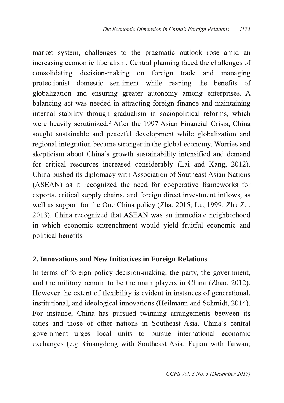market system, challenges to the pragmatic outlook rose amid an increasing economic liberalism. Central planning faced the challenges of consolidating decision-making on foreign trade and managing protectionist domestic sentiment while reaping the benefits of globalization and ensuring greater autonomy among enterprises. A balancing act was needed in attracting foreign finance and maintaining internal stability through gradualism in sociopolitical reforms, which were heavily scrutinized.<sup>2</sup> After the 1997 Asian Financial Crisis, China sought sustainable and peaceful development while globalization and regional integration became stronger in the global economy. Worries and skepticism about China's growth sustainability intensified and demand for critical resources increased considerably (Lai and Kang, 2012). China pushed its diplomacy with Association of Southeast Asian Nations (ASEAN) as it recognized the need for cooperative frameworks for exports, critical supply chains, and foreign direct investment inflows, as well as support for the One China policy (Zha, 2015; Lu, 1999; Zhu Z., 2013). China recognized that ASEAN was an immediate neighborhood in which economic entrenchment would yield fruitful economic and political benefits.

#### **2. Innovations and New Initiatives in Foreign Relations**

In terms of foreign policy decision-making, the party, the government, and the military remain to be the main players in China (Zhao,  $2012$ ). However the extent of flexibility is evident in instances of generational, institutional, and ideological innovations (Heilmann and Schmidt, 2014). For instance, China has pursued twinning arrangements between its cities and those of other nations in Southeast Asia. China's central government urges local units to pursue international economic exchanges (e.g. Guangdong with Southeast Asia; Fujian with Taiwan;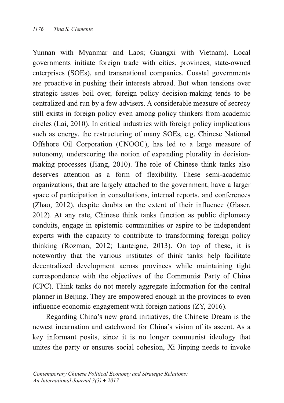Yunnan with Myanmar and Laos; Guangxi with Vietnam). Local governments initiate foreign trade with cities, provinces, state-owned enterprises (SOEs), and transnational companies. Coastal governments are proactive in pushing their interests abroad. But when tensions over strategic issues boil over, foreign policy decision-making tends to be centralized and run by a few advisers. A considerable measure of secrecy still exists in foreign policy even among policy thinkers from academic circles (Lai, 2010). In critical industries with foreign policy implications such as energy, the restructuring of many SOEs, e.g. Chinese National Offshore Oil Corporation (CNOOC), has led to a large measure of autonomy, underscoring the notion of expanding plurality in decisionmaking processes (Jiang, 2010). The role of Chinese think tanks also deserves attention as a form of flexibility. These semi-academic organizations, that are largely attached to the government, have a larger space of participation in consultations, internal reports, and conferences  $(Zhao, 2012)$ , despite doubts on the extent of their influence  $(Glaser,$ 2012). At any rate, Chinese think tanks function as public diplomacy conduits, engage in epistemic communities or aspire to be independent experts with the capacity to contribute to transforming foreign policy thinking (Rozman, 2012; Lanteigne, 2013). On top of these, it is noteworthy that the various institutes of think tanks help facilitate decentralized development across provinces while maintaining tight correspondence with the objectives of the Communist Party of China (CPC). Think tanks do not merely aggregate information for the central planner in Beijing. They are empowered enough in the provinces to even influence economic engagement with foreign nations  $(ZY, 2016)$ .

Regarding China's new grand initiatives, the Chinese Dream is the newest incarnation and catchword for China's vision of its ascent. As a key informant posits, since it is no longer communist ideology that unites the party or ensures social cohesion, Xi Jinping needs to invoke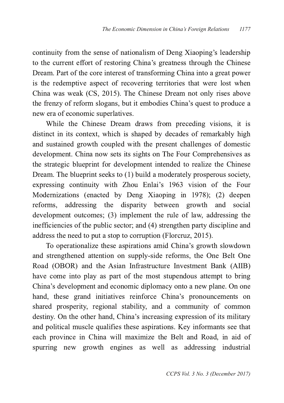continuity from the sense of nationalism of Deng Xiaoping's leadership to the current effort of restoring China's greatness through the Chinese Dream. Part of the core interest of transforming China into a great power is the redemptive aspect of recovering territories that were lost when China was weak (CS, 2015). The Chinese Dream not only rises above the frenzy of reform slogans, but it embodies China's quest to produce a new era of economic superlatives.

While the Chinese Dream draws from preceding visions, it is distinct in its context, which is shaped by decades of remarkably high and sustained growth coupled with the present challenges of domestic development. China now sets its sights on The Four Comprehensives as the strategic blueprint for development intended to realize the Chinese Dream. The blueprint seeks to (1) build a moderately prosperous society, expressing continuity with Zhou Enlai's 1963 vision of the Four Modernizations (enacted by Deng Xiaoping in 1978); (2) deepen reforms, addressing the disparity between growth and social development outcomes; (3) implement the rule of law, addressing the inefficiencies of the public sector; and (4) strengthen party discipline and address the need to put a stop to corruption (Florcruz, 2015).

To operationalize these aspirations amid China's growth slowdown and strengthened attention on supply-side reforms, the One Belt One Road (OBOR) and the Asian Infrastructure Investment Bank (AIIB) have come into play as part of the most stupendous attempt to bring China's development and economic diplomacy onto a new plane. On one hand, these grand initiatives reinforce China's pronouncements on shared prosperity, regional stability, and a community of common destiny. On the other hand, China's increasing expression of its military and political muscle qualifies these aspirations. Key informants see that each province in China will maximize the Belt and Road, in aid of spurring new growth engines as well as addressing industrial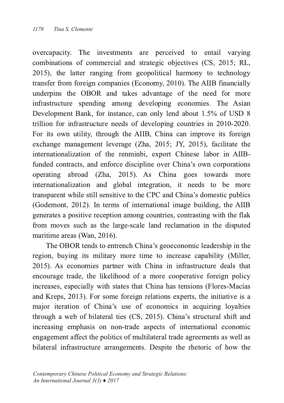overcapacity. The investments are perceived to entail varying combinations of commercial and strategic objectives  $\text{(CS, 2015; RL, 400)}$ 2015), the latter ranging from geopolitical harmony to technology transfer from foreign companies (Economy, 2010). The AIIB financially underpins the OBOR and takes advantage of the need for more infrastructure spending among developing economies. The Asian Development Bank, for instance, can only lend about 1.5% of USD 8 trillion for infrastructure needs of developing countries in 2010-2020  $\overline{\phantom{a}}$ For its own utility, through the AIIB, China can improve its foreign exchange management leverage (Zha, 2015; JY, 2015), facilitate the internationalization of the renminbi, export Chinese labor in AIIBfunded contracts, and enforce discipline over China's own corporations operating abroad Zha, 2015). As China goes towards more internationalization and global integration, it needs to be more transparent while still sensitive to the CPC and China's domestic publics (Godemont, 2012). In terms of international image building, the AIIB generates a positive reception among countries, contrasting with the flak from moves such as the large-scale land reclamation in the disputed maritime areas (Wan, 2016).

The OBOR tends to entrench China's geoeconomic leadership in the region, buying its military more time to increase capability (Miller, 2015). As economies partner with China in infrastructure deals that encourage trade, the likelihood of a more cooperative foreign policy increases, especially with states that China has tensions (Flores-Macías and Kreps, 2013). For some foreign relations experts, the initiative is a major iteration of China's use of economics in acquiring loyalties through a web of bilateral ties  $(CS, 2015)$ . China's structural shift and increasing emphasis on non-trade aspects of international economic engagement affect the politics of multilateral trade agreements as well as bilateral infrastructure arrangements. Despite the rhetoric of how the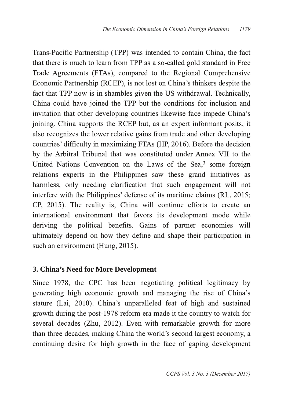Trans-Pacific Partnership (TPP) was intended to contain China, the fact that there is much to learn from TPP as a so-called gold standard in Free Trade Agreements (FTAs), compared to the Regional Comprehensive Economic Partnership (RCEP), is not lost on China's thinkers despite the fact that TPP now is in shambles given the US withdrawal. Technically, China could have joined the TPP but the conditions for inclusion and invitation that other developing countries likewise face impede China's joining. China supports the RCEP but, as an expert informant posits, it also recognizes the lower relative gains from trade and other developing countries' difficulty in maximizing FTAs (HP, 2016). Before the decision by the Arbitral Tribunal that was constituted under Annex VII to the United Nations Convention on the Laws of the Sea, $3$  some foreign relations experts in the Philippines saw these grand initiatives as harmless, only needing clarification that such engagement will not interfere with the Philippines' defense of its maritime claims  $(RL, 2015;$  $CP$ , 2015). The reality is, China will continue efforts to create an international environment that favors its development mode while deriving the political benefits. Gains of partner economies will ultimately depend on how they define and shape their participation in such an environment (Hung, 2015).

## **3. China's Need for More Development**

Since 1978, the CPC has been negotiating political legitimacy by generating high economic growth and managing the rise of China's stature (Lai, 2010). China's unparalleled feat of high and sustained growth during the post-1978 reform era made it the country to watch for several decades (Zhu, 2012). Even with remarkable growth for more than three decades, making China the world's second largest economy, a continuing desire for high growth in the face of gaping development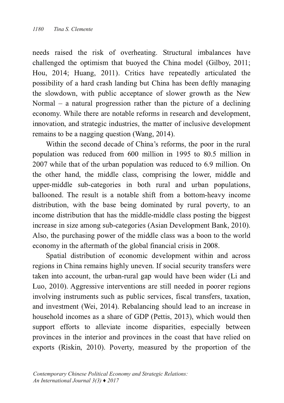needs raised the risk of overheating. Structural imbalances have challenged the optimism that buoyed the China model (Gilboy, 2011; Hou, 2014; Huang, 2011). Critics have repeatedly articulated the possibility of a hard crash landing but China has been deftly managing the slowdown, with public acceptance of slower growth as the New Normal – a natural progression rather than the picture of a declining economy. While there are notable reforms in research and development, innovation, and strategic industries, the matter of inclusive development remains to be a nagging question (Wang, 2014).

Within the second decade of China's reforms, the poor in the rural population was reduced from 600 million in 1995 to 80.5 million in 2007 while that of the urban population was reduced to 6.9 million. On the other hand, the middle class, comprising the lower, middle and upper-middle sub-categories in both rural and urban populations, ballooned. The result is a notable shift from a bottom-heavy income distribution, with the base being dominated by rural poverty, to an income distribution that has the middle-middle class posting the biggest increase in size among sub-categories (Asian Development Bank, 2010). Also, the purchasing power of the middle class was a boon to the world economy in the aftermath of the global financial crisis in 2008.

Spatial distribution of economic development within and across regions in China remains highly uneven. If social security transfers were taken into account, the urban-rural gap would have been wider (Li and Luo, 2010). Aggressive interventions are still needed in poorer regions involving instruments such as public services, fiscal transfers, taxation, and investment (Wei, 2014). Rebalancing should lead to an increase in household incomes as a share of GDP (Pettis, 2013), which would then support efforts to alleviate income disparities, especially between provinces in the interior and provinces in the coast that have relied on exports (Riskin, 2010). Poverty, measured by the proportion of the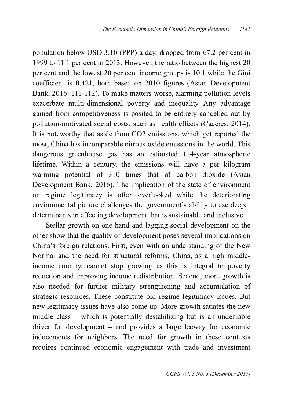population below USD  $3.10$  (PPP) a day, dropped from  $67.2$  per cent in 1999 to 11.1 per cent in 2013. However, the ratio between the highest  $20$ per cent and the lowest 20 per cent income groups is 10.1 while the Gini coefficient is 0.421, both based on 2010 figures (Asian Development Bank, 2016: 111-112). To make matters worse, alarming pollution levels exacerbate multi-dimensional poverty and inequality. Any advantage gained from competitiveness is posited to be entirely cancelled out by pollution-motivated social costs, such as health effects (Cáceres, 2014). It is noteworthy that aside from CO2 emissions, which get reported the most, China has incomparable nitrous oxide emissions in the world. This dangerous greenhouse gas has an estimated 114-year atmospheric lifetime. Within a century, the emissions will have a per kilogram warming potential of 310 times that of carbon dioxide (Asian Development Bank, 2016). The implication of the state of environment on regime legitimacy is often overlooked while the deteriorating environmental picture challenges the government's ability to use deeper determinants in effecting development that is sustainable and inclusive.

Stellar growth on one hand and lagging social development on the other show that the quality of development poses several implications on China's foreign relations. First, even with an understanding of the New Normal and the need for structural reforms, China, as a high middleincome country, cannot stop growing as this is integral to poverty reduction and improving income redistribution. Second, more growth is also needed for further military strengthening and accumulation of strategic resources. These constitute old regime legitimacy issues. But new legitimacy issues have also come up. More growth satiates the new middle class – which is potentially destabilizing but is an undeniable driver for development  $-$  and provides a large leeway for economic inducements for neighbors. The need for growth in these contexts requires continued economic engagement with trade and investment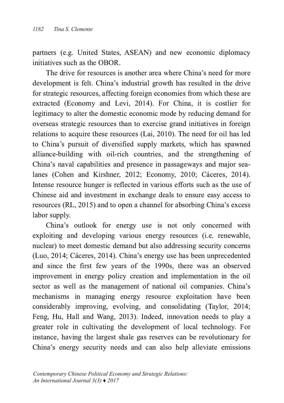partners (e.g. United States, ASEAN) and new economic diplomacy  $initiatives$  such as the OBOR.

The drive for resources is another area where China's need for more development is felt. China's industrial growth has resulted in the drive for strategic resources, affecting foreign economies from which these are extracted (Economy and Levi, 2014). For China, it is costlier for legitimacy to alter the domestic economic mode by reducing demand for bis overseas strategic resources than to exercise grand initiatives in foreign relations to acquire these resources (Lai, 2010). The need for oil has led to China's pursuit of diversified supply markets, which has spawned alliance-building with oil-rich countries, and the strengthening of China's naval capabilities and presence in passageways and major sealanes (Cohen and Kirshner, 2012; Economy, 2010; Cáceres, 2014). Intense resource hunger is reflected in various efforts such as the use of Chinese aid and investment in exchange deals to ensure easy access to resources (RL, 2015) and to open a channel for absorbing China's excess labor supply.

China's outlook for energy use is not only concerned with exploiting and developing various energy resources (i.e. renewable, nuclear) to meet domestic demand but also addressing security concerns (Luo, 2014; Cáceres, 2014). China's energy use has been unprecedented and since the first few years of the 1990s, there was an observed improvement in energy policy creation and implementation in the oil sector as well as the management of national oil companies. China's mechanisms in managing energy resource exploitation have been considerably improving, evolving, and consolidating (Taylor, 2014; Feng, Hu, Hall and Wang, 2013). Indeed, innovation needs to play a greater role in cultivating the development of local technology. For instance, having the largest shale gas reserves can be revolutionary for China's energy security needs and can also help alleviate emissions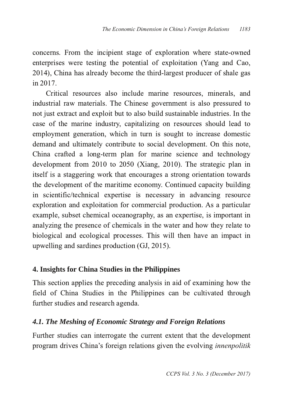concerns. From the incipient stage of exploration where state-owned enterprises were testing the potential of exploitation (Yang and Cao, 2014), China has already become the third-largest producer of shale gas  $\sin 2017$ .

Critical resources also include marine resources, minerals, and industrial raw materials. The Chinese government is also pressured to not just extract and exploit but to also build sustainable industries. In the case of the marine industry, capitalizing on resources should lead to employment generation, which in turn is sought to increase domestic demand and ultimately contribute to social development. On this note, China crafted a long-term plan for marine science and technology development from  $2010$  to  $2050$  (Xiang,  $2010$ ). The strategic plan in itself is a staggering work that encourages a strong orientation towards the development of the maritime economy. Continued capacity building in scientific/technical expertise is necessary in advancing resource exploration and exploitation for commercial production. As a particular example, subset chemical oceanography, as an expertise, is important in analyzing the presence of chemicals in the water and how they relate to biological and ecological processes. This will then have an impact in upwelling and sardines production  $(GJ, 2015)$ .

## **4. Insights for China Studies in the Philippines**

This section applies the preceding analysis in aid of examining how the field of China Studies in the Philippines can be cultivated through further studies and research agenda.

# *4.1. The Meshing of Economic Strategy and Foreign Relations*

Further studies can interrogate the current extent that the development program drives China's foreign relations given the evolving *innenpolitik*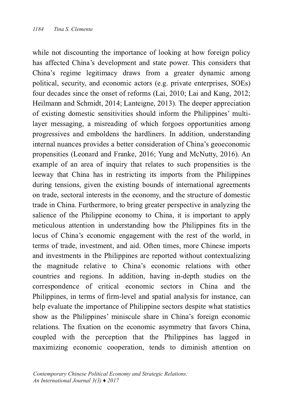while not discounting the importance of looking at how foreign policy has affected China's development and state power. This considers that China's regime legitimacy draws from a greater dynamic among political, security, and economic actors (e.g. private enterprises, SOEs) four decades since the onset of reforms (Lai, 2010; Lai and Kang, 2012; Heilmann and Schmidt, 2014; Lanteigne, 2013). The deeper appreciation of existing domestic sensitivities should inform the Philippines' multilayer messaging, a misreading of which forgoes opportunities among progressives and emboldens the hardliners. In addition, understanding internal nuances provides a better consideration of China's geoeconomic propensities (Leonard and Franke, 2016; Yung and McNutty, 2016). An example of an area of inquiry that relates to such propensities is the leeway that China has in restricting its imports from the Philippines during tensions, given the existing bounds of international agreements on trade, sectoral interests in the economy, and the structure of domestic trade in China. Furthermore, to bring greater perspective in analyzing the salience of the Philippine economy to China, it is important to apply meticulous attention in understanding how the Philippines fits in the locus of China's economic engagement with the rest of the world, in terms of trade, investment, and aid. Often times, more Chinese imports and investments in the Philippines are reported without contextualizing the magnitude relative to China's economic relations with other countries and regions. In addition, having in-depth studies on the correspondence of critical economic sectors in China and the Philippines, in terms of firm-level and spatial analysis for instance, can help evaluate the importance of Philippine sectors despite what statistics show as the Philippines' miniscule share in China's foreign economic relations. The fixation on the economic asymmetry that favors China, coupled with the perception that the Philippines has lagged in maximizing economic cooperation, tends to diminish attention on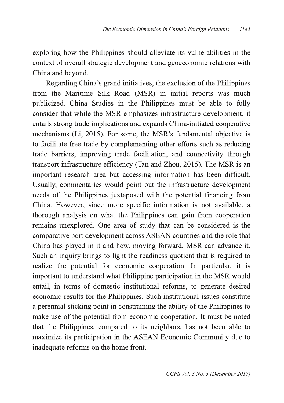exploring how the Philippines should alleviate its vulnerabilities in the context of overall strategic development and geoeconomic relations with China and beyond.

Regarding China's grand initiatives, the exclusion of the Philippines from the Maritime Silk Road (MSR) in initial reports was much publicized. China Studies in the Philippines must be able to fully consider that while the MSR emphasizes infrastructure development, it entails strong trade implications and expands China-initiated cooperative mechanisms (Li, 2015). For some, the MSR's fundamental objective is to facilitate free trade by complementing other efforts such as reducing trade barriers, improving trade facilitation, and connectivity through transport infrastructure efficiency (Tan and Zhou, 2015). The MSR is an important research area but accessing information has been difficult. Usually, commentaries would point out the infrastructure development needs of the Philippines juxtaposed with the potential financing from China. However, since more specific information is not available, a thorough analysis on what the Philippines can gain from cooperation remains unexplored. One area of study that can be considered is the comparative port development across ASEAN countries and the role that China has played in it and how, moving forward, MSR can advance it. Such an inquiry brings to light the readiness quotient that is required to realize the potential for economic cooperation. In particular, it is important to understand what Philippine participation in the MSR would entail, in terms of domestic institutional reforms, to generate desired economic results for the Philippines. Such institutional issues constitute a perennial sticking point in constraining the ability of the Philippines to make use of the potential from economic cooperation. It must be noted that the Philippines, compared to its neighbors, has not been able to maximize its participation in the ASEAN Economic Community due to inadequate reforms on the home front.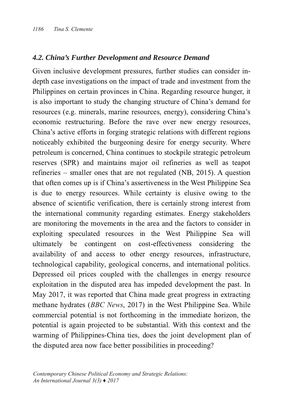#### *4.2. China's Further Development and Resource Demand*

Given inclusive development pressures, further studies can consider indepth case investigations on the impact of trade and investment from the Philippines on certain provinces in China. Regarding resource hunger, it is also important to study the changing structure of China's demand for resources (e.g. minerals, marine resources, energy), considering China's economic restructuring. Before the rave over new energy resources, China's active efforts in forging strategic relations with different regions noticeably exhibited the burgeoning desire for energy security. Where petroleum is concerned. China continues to stockpile strategic petroleum reserves (SPR) and maintains major oil refineries as well as teapot refineries – smaller ones that are not regulated (NB, 2015). A question that often comes up is if China's assertiveness in the West Philippine Sea is due to energy resources. While certainty is elusive owing to the absence of scientific verification, there is certainly strong interest from the international community regarding estimates. Energy stakeholders are monitoring the movements in the area and the factors to consider in exploiting speculated resources in the West Philippine Sea will ultimately be contingent on cost-effectiveness considering the availability of and access to other energy resources, infrastructure, technological capability, geological concerns, and international politics. Depressed oil prices coupled with the challenges in energy resource exploitation in the disputed area has impeded development the past. In May 2017, it was reported that China made great progress in extracting methane hydrates (BBC News, 2017) in the West Philippine Sea. While commercial potential is not forthcoming in the immediate horizon, the potential is again projected to be substantial. With this context and the warming of Philippines-China ties, does the joint development plan of the disputed area now face better possibilities in proceeding?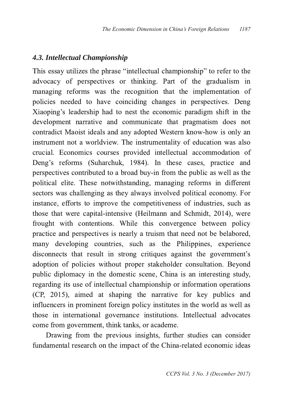## *4.3. Intellectual Championship*

This essay utilizes the phrase "intellectual championship" to refer to the advocacy of perspectives or thinking. Part of the gradualism in managing reforms was the recognition that the implementation of policies needed to have coinciding changes in perspectives. Deng Xiaoping's leadership had to nest the economic paradigm shift in the development narrative and communicate that pragmatism does not contradict Maoist ideals and any adopted Western know-how is only an instrument not a worldview. The instrumentality of education was also crucial. Economics courses provided intellectual accommodation of Deng's reforms (Suharchuk, 1984). In these cases, practice and perspectives contributed to a broad buy-in from the public as well as the political elite. These notwithstanding, managing reforms in different sectors was challenging as they always involved political economy. For instance, efforts to improve the competitiveness of industries, such as those that were capital-intensive (Heilmann and Schmidt, 2014), were frought with contentions. While this convergence between policy practice and perspectives is nearly a truism that need not be belabored, many developing countries, such as the Philippines, experience disconnects that result in strong critiques against the government's adoption of policies without proper stakeholder consultation. Beyond public diplomacy in the domestic scene, China is an interesting study, regarding its use of intellectual championship or information operations  $(CP, 2015)$ , aimed at shaping the narrative for key publics and influencers in prominent foreign policy institutes in the world as well as those in international governance institutions. Intellectual advocates come from government, think tanks, or academe.

Drawing from the previous insights, further studies can consider fundamental research on the impact of the China-related economic ideas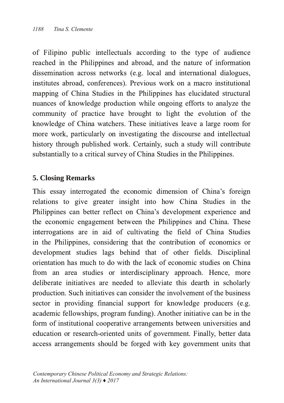of Filipino public intellectuals according to the type of audience reached in the Philippines and abroad, and the nature of information dissemination across networks (e.g. local and international dialogues, institutes abroad, conferences). Previous work on a macro institutional mapping of China Studies in the Philippines has elucidated structural nuances of knowledge production while ongoing efforts to analyze the community of practice have brought to light the evolution of the knowledge of China watchers. These initiatives leave a large room for more work, particularly on investigating the discourse and intellectual history through published work. Certainly, such a study will contribute substantially to a critical survey of China Studies in the Philippines.

### **5. Closing Remarks**

This essay interrogated the economic dimension of China's foreign relations to give greater insight into how China Studies in the Philippines can better reflect on China's development experience and the economic engagement between the Philippines and China. These interrogations are in aid of cultivating the field of China Studies in the Philippines, considering that the contribution of economics or development studies lags behind that of other fields. Disciplinal orientation has much to do with the lack of economic studies on China from an area studies or interdisciplinary approach. Hence, more deliberate initiatives are needed to alleviate this dearth in scholarly production. Such initiatives can consider the involvement of the business sector in providing financial support for knowledge producers (e.g. academic fellowships, program funding). Another initiative can be in the form of institutional cooperative arrangements between universities and education or research-oriented units of government. Finally, better data access arrangements should be forged with key government units that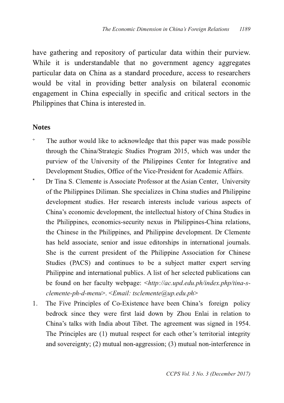have gathering and repository of particular data within their purview. While it is understandable that no government agency aggregates particular data on China as a standard procedure, access to researchers would be vital in providing better analysis on bilateral economic engagement in China especially in specific and critical sectors in the Philippines that China is interested in.

#### **Notes**

- <sup>+</sup> The author would like to acknowledge that this paper was made possible through the China/Strategic Studies Program 2015, which was under the purview of the University of the Philippines Center for Integrative and Development Studies, Office of the Vice-President for Academic Affairs.
- <sup>\*</sup> Dr Tina S. Clemente is Associate Professor at the Asian Center, University of the Philippines Diliman. She specializes in China studies and Philippine development studies. Her research interests include various aspects of China's economic development, the intellectual history of China Studies in the Philippines, economics-security nexus in Philippines-China relations, the Chinese in the Philippines, and Philippine development. Dr Clemente has held associate, senior and issue editorships in international journals. She is the current president of the Philippine Association for Chinese Studies (PACS) and continues to be a subject matter expert serving Philippine and international publics. A list of her selected publications can be found on her faculty webpage:  $\langle \frac{h}{v} \rangle$  /*ac.upd.edu.ph/index.php/tina-sclemente-ph-d-menu>.* <*Email: tsclemente@up.edu.ph>*
- 1. The Five Principles of Co-Existence have been China's foreign policy bedrock since they were first laid down by Zhou Enlai in relation to China's talks with India about Tibet. The agreement was signed in 1954. The Principles are (1) mutual respect for each other's territorial integrity and sovereignty; (2) mutual non-aggression; (3) mutual non-interference in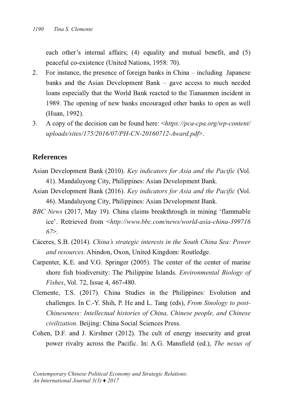each other's internal affairs;  $(4)$  equality and mutual benefit, and  $(5)$ peaceful co-existence (United Nations, 1958: 70).

- 2. For instance, the presence of foreign banks in China including Japanese banks and the Asian Development Bank  $-$  gave access to much needed loans especially that the World Bank reacted to the Tiananmen incident in 1989. The opening of new banks encouraged other banks to open as well (Huan, 1992).
- 6BCL B9 6.6 A copy of the decision can be found here:  $\langle \text{https://pca-cpa.org/wp-content/}}$ *uploads/sites/175/2016/07/PH-CN-20160712-Award.pdf>.*

#### **References**

- Asian Development Bank (2010). Key indicators for Asia and the Pacific (Vol. 41). Mandaluyong City, Philippines: Asian Development Bank.
- Asian Development Bank (2016). Key indicators for Asia and the Pacific (Vol. 46). Mandaluyong City, Philippines: Asian Development Bank.
- BBC News (2017, May 19). China claims breakthrough in mining 'flammable ice'. Retrieved from <http://www.bbc.com/news/world-asia-china-399716 *67*
- N68E8F + - *China's strategic interests in the South China Sea: Power and resources.* Abindon, Oxon, United Kingdom: Routledge.
- Carpenter, K.E. and V.G. Springer (2005). The center of the center of marine shore fish biodiversity: The Philippine Islands. *Environmental Biology of Fishes*, Vol. 72, Issue 4, 467-480. .
- Clemente, T.S. (2017). China Studies in the Philippines: Evolution and challenges. In C.-Y. Shih, P. He and L. Tang (eds), From Sinology to post-*Chineseness: Intellectual histories of China, Chinese people, and Chinese civilization*. Beijing: China Social Sciences Press.
- Cohen, D.F. and J. Kirshner (2012). The cult of energy insecurity and great power rivalry across the Pacific. In: A.G. Mansfield (ed.), The nexus of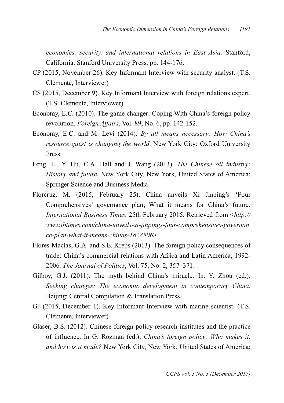*economics, security, and international relations in East Asia. Stanford,* California: Stanford University Press, pp. 144-176.

- $CP$  (2015, November 26). Key Informant Interview with security analyst. (T.S. Clemente, Interviewer)
- CS (2015, December 9). Key Informant Interview with foreign relations expert. (T.S. Clemente, Interviewer)
- Economy, E.C. (2010). The game changer: Coping With China's foreign policy revolution. Foreign *Affairs*, Vol. 89, No. 6, pp. 142-152.
- Economy, E.C. and M. Levi (2014). *By all means necessary: How China's resource quest is changing the world.* New York City: Oxford University Press.
- Feng, L., Y. Hu, C.A. Hall and J. Wang (2013). The Chinese oil industry: *History and future*. New York City, New York, United States of America: Springer Science and Business Media.
- Florcruz, M. (2015, February 25). China unveils Xi Jinping's 'Four Comprehensives' governance plan; What it means for China's future. *International Business Times, 25th February 2015. Retrieved from <http://* www.ibtimes.com/china-unveils-xi-jinpings-four-comprehensives-governan *ce-plan-what-it-means-chinas-1828506>.*
- Flores-Macías, G.A. and S.E. Kreps (2013). The foreign policy consequences of trade: China's commercial relations with Africa and Latin America. 1992-2006. *The Journal of Politics*, Vol. 75, No. 2, 357–371.
- Gilboy, G.J. (2011). The myth behind China's miracle. In: Y. Zhou (ed.), *Seeking changes: The economic development in contemporary China* Beijing: Central Compilation & Translation Press.
- GJ (2015, December 1). Key Informant Interview with marine scientist. (T.S. Clemente, Interviewer)
- Glaser, B.S. (2012). Chinese foreign policy research institutes and the practice of influence. In G. Rozman (ed.), *China's foreign policy: Who makes it, and how is it made?* New York City, New York, United States of America: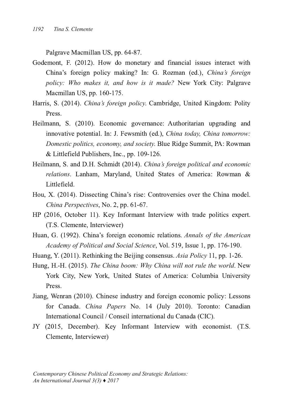Palgrave Macmillan US, pp. 64-87.

- Godemont, F. (2012). How do monetary and financial issues interact with China's foreign policy making? In: G. Rozman (ed.), China's foreign *policy: Who makes it, and how is it made?* New York City: Palgrave Macmillan US, pp. 160-175.
- Harris, S. (2014). *China's foreign policy*. Cambridge, United Kingdom: Polity Press.
- Heilmann, S. (2010). Economic governance: Authoritarian upgrading and innovative potential. In: J. Fewsmith (ed.), *China today, China tomorrow: Domestic politics, economy, and society.* Blue Ridge Summit, PA: Rowman & Littlefield Publishers, Inc., pp. 109-126.
- Heilmann, S. and D.H. Schmidt (2014). *China's foreign political and economic relations*. Lanham, Maryland, United States of America: Rowman & Littlefield.
- Hou, X. (2014). Dissecting China's rise: Controversies over the China model. *China Perspectives*, No. 2, pp.  $61-67$ .
- HP (2016, October 11). Key Informant Interview with trade politics expert. (T.S. Clemente, Interviewer)
- Huan, G. (1992). China's foreign economic relations. Annals of the American *Academy of Political and Social Science*, Vol. 519, Issue 1, pp. 176-190.
- Huang, Y. (2011). Rethinking the Beijing consensus. Asia Policy 11, pp. 1-26.
- Hung, H.-H. (2015). The China boom: Why China will not rule the world. New York City, New York, United States of America: Columbia University Press<sub>-</sub>
- Jiang, Wenran (2010). Chinese industry and foreign economic policy: Lessons for Canada. China Papers No. 14 (July 2010). Toronto: Canadian International Council / Conseil international du Canada (CIC).
- JY (2015, December). Key Informant Interview with economist. (T.S. Clemente, Interviewer)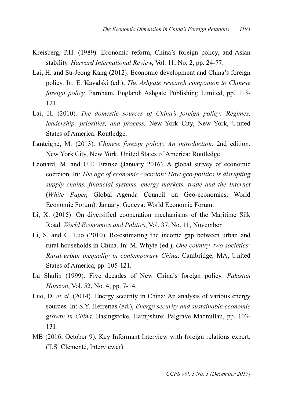- Kreisberg, P.H. (1989). Economic reform, China's foreign policy, and Asian stability. Harvard International Review, Vol. 11, No. 2, pp. 24-77.
- Lai, H. and Su-Jeong Kang (2012). Economic development and China's foreign policy. In: E. Kavalski (ed.), *The Ashgate research companion to Chinese foreign policy*. Farnham, England: Ashgate Publishing Limited, pp. 113- $12.1.$
- Lai, H. (2010). The domestic sources of China's foreign policy: Regimes, *leadership, priorities, and process. New York City, New York, United* States of America: Routledge.
- Lanteigne, M. (2013). Chinese foreign policy: An introduction. 2nd edition. New York City, New York, United States of America: Routledge.
- Leonard, M. and U.E. Franke (January 2016). A global survey of economic 6B8E6<BA !A *The age of economic coercion: How geopolitics is disrupting supply chains, financial systems, energy markets, trade and the Internet* (White Paper, Global Agenda Council on Geo-economics, World Economic Forum). January. Geneva: World Economic Forum.
- Li, X. (2015). On diversified cooperation mechanisms of the Maritime Silk Road. World *Economics and Politics*, Vol. 37, No. 11, November.
- Li, S. and C. Luo (2010). Re-estimating the income gap between urban and rural households in China. In: M. Whyte (ed.), *One country, two societies: Rural-urban inequality in contemporary China. Cambridge, MA, United* States of America, pp. 105-121.
- Lu Shulin (1999). Five decades of New China's foreign policy. Pakistan *Horizon*, Vol. 52, No. 4, pp. 7-14.
- Luo, D. et al. (2014). Energy security in China: An analysis of various energy sources. In: S.Y. Herrerias (ed.), *Energy security and sustainable economic* growth in China. Basingstoke, Hampshire: Palgrave Macmillan, pp. 103-131
- MB (2016, October 9). Key Informant Interview with foreign relations expert. (T.S. Clemente, Interviewer)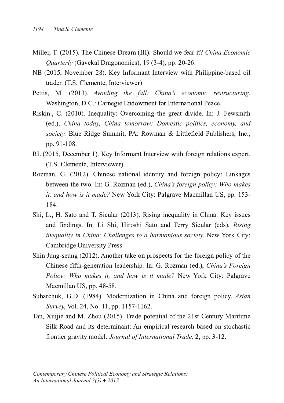- Miller, T. (2015). The Chinese Dream (III): Should we fear it? *China Economic Quarterly* (Gavekal Dragonomics), 19 (3-4), pp. 20-26.
- NB (2015, November 28). Key Informant Interview with Philippine-based oil trader. (T.S. Clemente, Interviewer)
- Pettis, M. (2013). Avoiding the fall: China's economic restructuring. Washington, D.C.: Carnegie Endowment for International Peace.
- Riskin., C. (2010). Inequality: Overcoming the great divide. In: J. Fewsmith -87 *China today, China tomorrow: Domestic politics, economy, and society*. Blue Ridge Summit, PA: Rowman & Littlefield Publishers, Inc., pp. 91-108.
- RL (2015, December 1). Key Informant Interview with foreign relations expert. (T.S. Clemente, Interviewer)
- Rozman, G. (2012). Chinese national identity and foreign policy: Linkages between the two. In: G. Rozman (ed.), *China's foreign policy: Who makes it, and how is it made?* New York City: Palgrave Macmillan US, pp. 153-184.
- Shi, L., H. Sato and T. Sicular (2013). Rising inequality in China: Key issues and findings. In: Li Shi, Hiroshi Sato and Terry Sicular (eds), Rising *inequality in China: Challenges to a harmonious society. New York City:* Cambridge University Press.
- Shin Jung-seung (2012). Another take on prospects for the foreign policy of the Chinese fifth-generation leadership. In: G. Rozman (ed.), China's Foreign *Policy: Who makes it, and how is it made?* New York City: Palgrave Macmillan US, pp. 48-58.
- Suharchuk, G.D. (1984). Modernization in China and foreign policy. Asian *Survey*, Vol. 24, No. 11, pp. 1157-1162.
- Tan, Xiujie and M. Zhou (2015). Trade potential of the 21st Century Maritime Silk Road and its determinant: An empirical research based on stochastic frontier gravity model. *Journal of International Trade*, 2, pp. 3-12.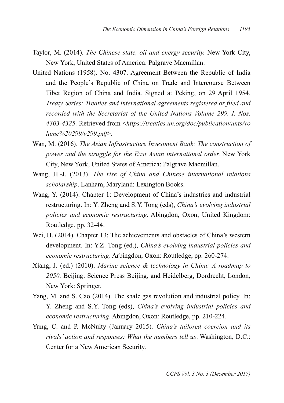- Taylor, M. (2014). The Chinese state, oil and energy security. New York City, New York, United States of America: Palgrave Macmillan.
- United Nations (1958). No. 4307. Agreement Between the Republic of India and the People's Republic of China on Trade and Intercourse Between Tibet Region of China and India. Signed at Peking, on 29 April 1954. *Treaty Series: Treaties and international agreements registered or filed and recorded with the Secretariat of the United Nations Volume 299, I. Nos. 4303-4325*. Retrieved from <*https://treaties.un.org/doc/publication/unts/vo lume%20299/v299.pdf*
- Wan, M. (2016). *The Asian Infrastructure Investment Bank: The construction of power* and the *struggle* for the East *Asian* international order. New York City, New York, United States of America: Palgrave Macmillan.
- Wang, H.-J. (2013). The rise of China and Chinese international relations *scholarship*. Lanham, Maryland: Lexington Books.
- Wang, Y. (2014). Chapter 1: Development of China's industries and industrial restructuring. In: Y. Zheng and S.Y. Tong (eds), China's evolving industrial *policies and economic restructuring. Abingdon, Oxon, United Kingdom:* Routledge, pp. 32-44.
- Wei, H. (2014). Chapter 13: The achievements and obstacles of China's western development. In: Y.Z. Tong (ed.), *China's evolving industrial policies and* economic restructuring. Arbingdon, Oxon: Routledge, pp. 260-274.
- 0<4A: " -87 - *Marine science & technology in China: A roadmap to* 2050. Beijing: Science Press Beijing, and Heidelberg, Dordrecht, London, New York: Springer.
- Yang, M. and S. Cao (2014). The shale gas revolution and industrial policy. In: Y. Zheng and S.Y. Tong (eds), China's evolving industrial policies and economic restructuring. Abingdon, Oxon: Routledge, pp. 210-224.
- Yung, C. and P. McNulty (January 2015). China's tailored coercion and its *rivals' action and responses: What the numbers tell us.* Washington, D.C.: Center for a New American Security.